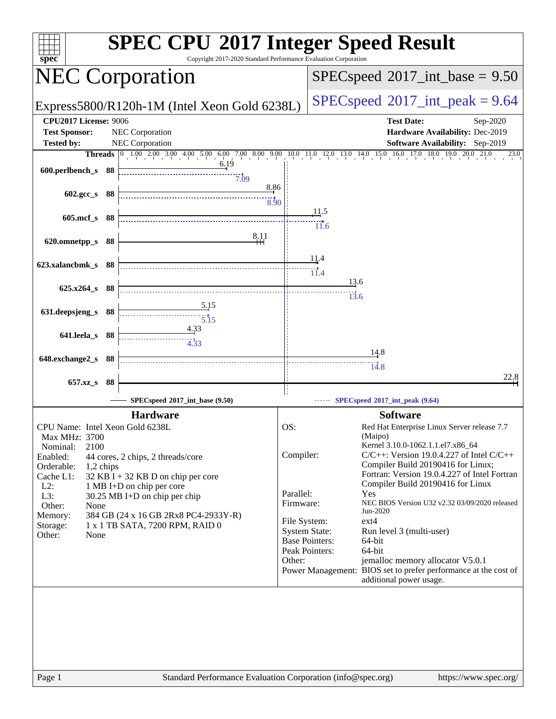| spec                                | <b>SPEC CPU®2017 Integer Speed Result</b><br>Copyright 2017-2020 Standard Performance Evaluation Corporation |                        |                                                                                                                                      |  |  |  |
|-------------------------------------|--------------------------------------------------------------------------------------------------------------|------------------------|--------------------------------------------------------------------------------------------------------------------------------------|--|--|--|
| <b>NEC Corporation</b>              |                                                                                                              |                        | $SPEC speed^{\circ}2017\_int\_base = 9.50$                                                                                           |  |  |  |
|                                     | Express5800/R120h-1M (Intel Xeon Gold 6238L)                                                                 |                        | $SPEC speed^{\circ}2017\_int\_peak = 9.64$                                                                                           |  |  |  |
| <b>CPU2017 License: 9006</b>        |                                                                                                              |                        | <b>Test Date:</b><br>Sep-2020                                                                                                        |  |  |  |
| <b>Test Sponsor:</b>                | NEC Corporation                                                                                              |                        | Hardware Availability: Dec-2019                                                                                                      |  |  |  |
| <b>Tested by:</b>                   | NEC Corporation                                                                                              |                        | Software Availability: Sep-2019                                                                                                      |  |  |  |
|                                     | 6.19                                                                                                         |                        | <b>Threads</b> 0 1.00 2.00 3.00 4.00 5.00 6.00 7.00 8.00 9.00 10.0 11.0 12.0 13.0 14.0 15.0 16.0 17.0 18.0 19.0 20.0<br>21.0<br>23.0 |  |  |  |
| 600.perlbench_s 88                  | 7.09                                                                                                         |                        |                                                                                                                                      |  |  |  |
|                                     | 8.86                                                                                                         |                        |                                                                                                                                      |  |  |  |
| 602.gcc_s 88                        | $\frac{1}{8.90}$                                                                                             |                        |                                                                                                                                      |  |  |  |
| 605.mcf_s 88                        |                                                                                                              |                        | 11.5                                                                                                                                 |  |  |  |
|                                     |                                                                                                              |                        | 11.6                                                                                                                                 |  |  |  |
| 620.omnetpp_s 88                    | 8.11                                                                                                         |                        |                                                                                                                                      |  |  |  |
|                                     |                                                                                                              |                        |                                                                                                                                      |  |  |  |
| 623.xalancbmk_s 88                  |                                                                                                              |                        | 11.4                                                                                                                                 |  |  |  |
|                                     |                                                                                                              |                        | $\overleftrightarrow{11.4}$<br>13.6                                                                                                  |  |  |  |
| 625.x264_s 88                       |                                                                                                              |                        | 13.6                                                                                                                                 |  |  |  |
|                                     | 5.15                                                                                                         |                        |                                                                                                                                      |  |  |  |
| 631.deepsjeng_s 88                  | 5.15                                                                                                         |                        |                                                                                                                                      |  |  |  |
| 641.leela_s 88                      | 4.33                                                                                                         |                        |                                                                                                                                      |  |  |  |
|                                     |                                                                                                              |                        |                                                                                                                                      |  |  |  |
| 648.exchange2_s 88                  |                                                                                                              |                        | <u>14.8</u>                                                                                                                          |  |  |  |
|                                     |                                                                                                              |                        | $\frac{11}{14.8}$                                                                                                                    |  |  |  |
| $657.xz$ <sub>S</sub>               | - 88                                                                                                         |                        | 22,8                                                                                                                                 |  |  |  |
|                                     | SPECspeed®2017_int_base (9.50)                                                                               |                        | SPECspeed®2017_int_peak (9.64)                                                                                                       |  |  |  |
|                                     | <b>Hardware</b>                                                                                              |                        | <b>Software</b>                                                                                                                      |  |  |  |
| CPU Name: Intel Xeon Gold 6238L     |                                                                                                              | OS:                    | Red Hat Enterprise Linux Server release 7.7                                                                                          |  |  |  |
| Max MHz: 3700                       |                                                                                                              |                        | (Maipo)                                                                                                                              |  |  |  |
| 2100<br>Nominal:                    |                                                                                                              |                        | Kernel 3.10.0-1062.1.1.el7.x86_64                                                                                                    |  |  |  |
| Enabled:<br>Orderable:<br>1,2 chips | 44 cores, 2 chips, 2 threads/core                                                                            | Compiler:              | $C/C++$ : Version 19.0.4.227 of Intel $C/C++$<br>Compiler Build 20190416 for Linux;                                                  |  |  |  |
| Cache L1:                           | $32$ KB I + 32 KB D on chip per core                                                                         |                        | Fortran: Version 19.0.4.227 of Intel Fortran                                                                                         |  |  |  |
| $L2$ :                              | 1 MB I+D on chip per core                                                                                    |                        | Compiler Build 20190416 for Linux                                                                                                    |  |  |  |
| L3:                                 | $30.25 \text{ MB}$ I+D on chip per chip                                                                      | Parallel:<br>Firmware: | Yes<br>NEC BIOS Version U32 v2.32 03/09/2020 released                                                                                |  |  |  |
| Other:<br>None<br>Memory:           | 384 GB (24 x 16 GB 2Rx8 PC4-2933Y-R)                                                                         |                        | Jun-2020                                                                                                                             |  |  |  |
| Storage:                            | 1 x 1 TB SATA, 7200 RPM, RAID 0                                                                              |                        | $ext{4}$<br>File System:                                                                                                             |  |  |  |
| Other:<br>None                      |                                                                                                              |                        | <b>System State:</b><br>Run level 3 (multi-user)<br><b>Base Pointers:</b><br>64-bit                                                  |  |  |  |
|                                     |                                                                                                              |                        | Peak Pointers:<br>64-bit                                                                                                             |  |  |  |
|                                     |                                                                                                              | Other:                 | jemalloc memory allocator V5.0.1                                                                                                     |  |  |  |
|                                     |                                                                                                              |                        | Power Management: BIOS set to prefer performance at the cost of<br>additional power usage.                                           |  |  |  |
|                                     |                                                                                                              |                        |                                                                                                                                      |  |  |  |
| Page 1                              | Standard Performance Evaluation Corporation (info@spec.org)                                                  |                        | https://www.spec.org/                                                                                                                |  |  |  |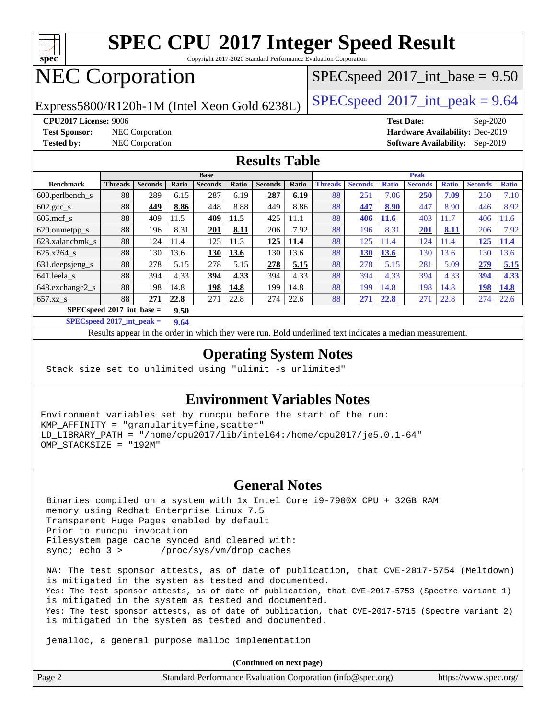

Copyright 2017-2020 Standard Performance Evaluation Corporation

# NEC Corporation

 $SPECspeed^{\circledcirc}2017\_int\_base = 9.50$  $SPECspeed^{\circledcirc}2017\_int\_base = 9.50$ 

Express5800/R120h-1M (Intel Xeon Gold 6238L)  $\big|$  [SPECspeed](http://www.spec.org/auto/cpu2017/Docs/result-fields.html#SPECspeed2017intpeak)®[2017\\_int\\_peak = 9](http://www.spec.org/auto/cpu2017/Docs/result-fields.html#SPECspeed2017intpeak).64

**[Test Sponsor:](http://www.spec.org/auto/cpu2017/Docs/result-fields.html#TestSponsor)** NEC Corporation **[Hardware Availability:](http://www.spec.org/auto/cpu2017/Docs/result-fields.html#HardwareAvailability)** Dec-2019

**[CPU2017 License:](http://www.spec.org/auto/cpu2017/Docs/result-fields.html#CPU2017License)** 9006 **[Test Date:](http://www.spec.org/auto/cpu2017/Docs/result-fields.html#TestDate)** Sep-2020 **[Tested by:](http://www.spec.org/auto/cpu2017/Docs/result-fields.html#Testedby)** NEC Corporation **[Software Availability:](http://www.spec.org/auto/cpu2017/Docs/result-fields.html#SoftwareAvailability)** Sep-2019

### **[Results Table](http://www.spec.org/auto/cpu2017/Docs/result-fields.html#ResultsTable)**

|                                     | <b>Base</b>    |                |       |                | <b>Peak</b> |                |       |                |                |              |                |              |                |              |
|-------------------------------------|----------------|----------------|-------|----------------|-------------|----------------|-------|----------------|----------------|--------------|----------------|--------------|----------------|--------------|
| <b>Benchmark</b>                    | <b>Threads</b> | <b>Seconds</b> | Ratio | <b>Seconds</b> | Ratio       | <b>Seconds</b> | Ratio | <b>Threads</b> | <b>Seconds</b> | <b>Ratio</b> | <b>Seconds</b> | <b>Ratio</b> | <b>Seconds</b> | <b>Ratio</b> |
| 600.perlbench s                     | 88             | 289            | 6.15  | 287            | 6.19        | 287            | 6.19  | 88             | 251            | 7.06         | 250            | 7.09         | 250            | 7.10         |
| $602.\text{gcc}\_\text{s}$          | 88             | 449            | 8.86  | 448            | 8.88        | 449            | 8.86  | 88             | 447            | 8.90         | 447            | 8.90         | 446            | 8.92         |
| $605$ .mcf s                        | 88             | 409            | 11.5  | 409            | 11.5        | 425            | 11.1  | 88             | 406            | <b>11.6</b>  | 403            | 11.7         | 406            | 1.6          |
| 620.omnetpp_s                       | 88             | 196            | 8.31  | <b>201</b>     | 8.11        | 206            | 7.92  | 88             | 196            | 8.31         | <u>201</u>     | 8.11         | 206            | 7.92         |
| 623.xalancbmk s                     | 88             | 124            | 11.4  | 125            | 11.3        | 125            | 11.4  | 88             | 125            | 11.4         | 124            | 11.4         | 125            | <b>11.4</b>  |
| 625.x264 s                          | 88             | 130            | 13.6  | 130            | 13.6        | 130            | 13.6  | 88             | 130            | 13.6         | 130            | 13.6         | 130            | 13.6         |
| 631.deepsjeng_s                     | 88             | 278            | 5.15  | 278            | 5.15        | 278            | 5.15  | 88             | 278            | 5.15         | 281            | 5.09         | 279            | 5.15         |
| 641.leela s                         | 88             | 394            | 4.33  | 394            | 4.33        | 394            | 4.33  | 88             | 394            | 4.33         | 394            | 4.33         | 394            | 4.33         |
| 648.exchange2_s                     | 88             | 198            | 14.8  | <u>198</u>     | 14.8        | 199            | 14.8  | 88             | 199            | 14.8         | 198            | 14.8         | 198            | 14.8         |
| $657.xz$ s                          | 88             | 271            | 22.8  | 271            | 22.8        | 274            | 22.6  | 88             | 271            | 22.8         | 271            | 22.8         | 274            | 22.6         |
| $SPECspeed*2017$ int base =<br>9.50 |                |                |       |                |             |                |       |                |                |              |                |              |                |              |

**[SPECspeed](http://www.spec.org/auto/cpu2017/Docs/result-fields.html#SPECspeed2017intpeak)[2017\\_int\\_peak =](http://www.spec.org/auto/cpu2017/Docs/result-fields.html#SPECspeed2017intpeak) 9.64**

Results appear in the [order in which they were run.](http://www.spec.org/auto/cpu2017/Docs/result-fields.html#RunOrder) Bold underlined text [indicates a median measurement](http://www.spec.org/auto/cpu2017/Docs/result-fields.html#Median).

### **[Operating System Notes](http://www.spec.org/auto/cpu2017/Docs/result-fields.html#OperatingSystemNotes)**

Stack size set to unlimited using "ulimit -s unlimited"

### **[Environment Variables Notes](http://www.spec.org/auto/cpu2017/Docs/result-fields.html#EnvironmentVariablesNotes)**

Environment variables set by runcpu before the start of the run: KMP\_AFFINITY = "granularity=fine,scatter" LD\_LIBRARY\_PATH = "/home/cpu2017/lib/intel64:/home/cpu2017/je5.0.1-64" OMP\_STACKSIZE = "192M"

### **[General Notes](http://www.spec.org/auto/cpu2017/Docs/result-fields.html#GeneralNotes)**

 Binaries compiled on a system with 1x Intel Core i9-7900X CPU + 32GB RAM memory using Redhat Enterprise Linux 7.5 Transparent Huge Pages enabled by default Prior to runcpu invocation Filesystem page cache synced and cleared with: sync; echo 3 > /proc/sys/vm/drop\_caches

 NA: The test sponsor attests, as of date of publication, that CVE-2017-5754 (Meltdown) is mitigated in the system as tested and documented. Yes: The test sponsor attests, as of date of publication, that CVE-2017-5753 (Spectre variant 1) is mitigated in the system as tested and documented. Yes: The test sponsor attests, as of date of publication, that CVE-2017-5715 (Spectre variant 2) is mitigated in the system as tested and documented.

jemalloc, a general purpose malloc implementation

**(Continued on next page)**

| Page 2 | Standard Performance Evaluation Corporation (info@spec.org) | https://www.spec.org/ |
|--------|-------------------------------------------------------------|-----------------------|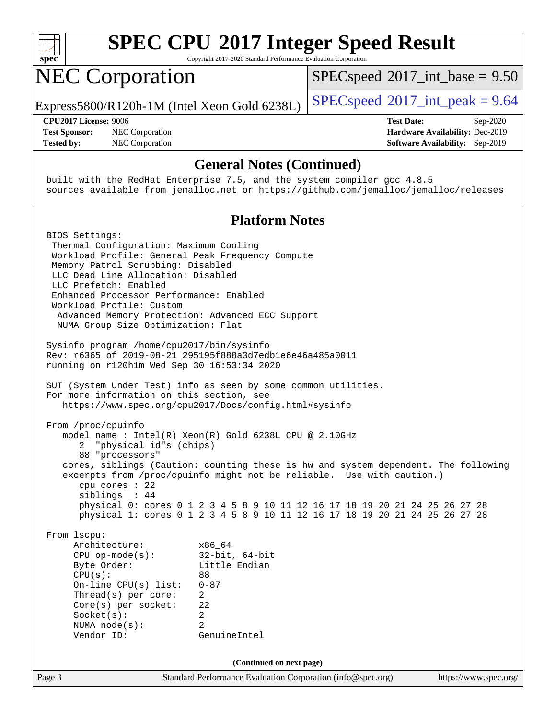

Copyright 2017-2020 Standard Performance Evaluation Corporation

# NEC Corporation

 $SPECspeed^{\circ}2017\_int\_base = 9.50$  $SPECspeed^{\circ}2017\_int\_base = 9.50$ 

Express5800/R120h-1M (Intel Xeon Gold 6238L)  $\left|$  [SPECspeed](http://www.spec.org/auto/cpu2017/Docs/result-fields.html#SPECspeed2017intpeak)®[2017\\_int\\_peak = 9](http://www.spec.org/auto/cpu2017/Docs/result-fields.html#SPECspeed2017intpeak).64

**[Test Sponsor:](http://www.spec.org/auto/cpu2017/Docs/result-fields.html#TestSponsor)** NEC Corporation **[Hardware Availability:](http://www.spec.org/auto/cpu2017/Docs/result-fields.html#HardwareAvailability)** Dec-2019 **[Tested by:](http://www.spec.org/auto/cpu2017/Docs/result-fields.html#Testedby)** NEC Corporation **[Software Availability:](http://www.spec.org/auto/cpu2017/Docs/result-fields.html#SoftwareAvailability)** Sep-2019

**[CPU2017 License:](http://www.spec.org/auto/cpu2017/Docs/result-fields.html#CPU2017License)** 9006 **[Test Date:](http://www.spec.org/auto/cpu2017/Docs/result-fields.html#TestDate)** Sep-2020

### **[General Notes \(Continued\)](http://www.spec.org/auto/cpu2017/Docs/result-fields.html#GeneralNotes)**

 built with the RedHat Enterprise 7.5, and the system compiler gcc 4.8.5 sources available from jemalloc.net or <https://github.com/jemalloc/jemalloc/releases>

### **[Platform Notes](http://www.spec.org/auto/cpu2017/Docs/result-fields.html#PlatformNotes)**

Page 3 Standard Performance Evaluation Corporation [\(info@spec.org\)](mailto:info@spec.org) <https://www.spec.org/> BIOS Settings: Thermal Configuration: Maximum Cooling Workload Profile: General Peak Frequency Compute Memory Patrol Scrubbing: Disabled LLC Dead Line Allocation: Disabled LLC Prefetch: Enabled Enhanced Processor Performance: Enabled Workload Profile: Custom Advanced Memory Protection: Advanced ECC Support NUMA Group Size Optimization: Flat Sysinfo program /home/cpu2017/bin/sysinfo Rev: r6365 of 2019-08-21 295195f888a3d7edb1e6e46a485a0011 running on r120h1m Wed Sep 30 16:53:34 2020 SUT (System Under Test) info as seen by some common utilities. For more information on this section, see <https://www.spec.org/cpu2017/Docs/config.html#sysinfo> From /proc/cpuinfo model name : Intel(R) Xeon(R) Gold 6238L CPU @ 2.10GHz 2 "physical id"s (chips) 88 "processors" cores, siblings (Caution: counting these is hw and system dependent. The following excerpts from /proc/cpuinfo might not be reliable. Use with caution.) cpu cores : 22 siblings : 44 physical 0: cores 0 1 2 3 4 5 8 9 10 11 12 16 17 18 19 20 21 24 25 26 27 28 physical 1: cores 0 1 2 3 4 5 8 9 10 11 12 16 17 18 19 20 21 24 25 26 27 28 From lscpu: Architecture: x86\_64 CPU op-mode(s): 32-bit, 64-bit Byte Order: Little Endian CPU(s): 88 On-line CPU(s) list: 0-87 Thread(s) per core: 2 Core(s) per socket: 22 Socket(s): 2 NUMA node(s): 2 Vendor ID: GenuineIntel **(Continued on next page)**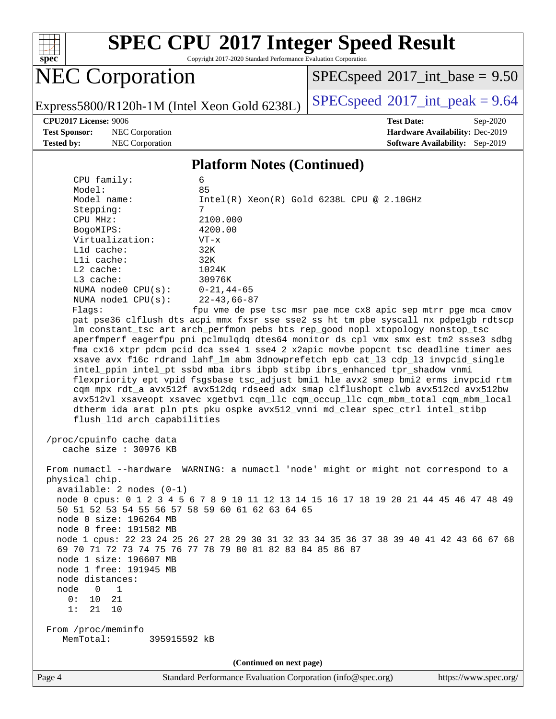

Copyright 2017-2020 Standard Performance Evaluation Corporation

# NEC Corporation

 $SPEC speed$ <sup>®</sup>[2017\\_int\\_base =](http://www.spec.org/auto/cpu2017/Docs/result-fields.html#SPECspeed2017intbase) 9.50

Express5800/R120h-1M (Intel Xeon Gold 6238L)  $\left|$  [SPECspeed](http://www.spec.org/auto/cpu2017/Docs/result-fields.html#SPECspeed2017intpeak)<sup>®</sup>[2017\\_int\\_peak = 9](http://www.spec.org/auto/cpu2017/Docs/result-fields.html#SPECspeed2017intpeak).64

**[Test Sponsor:](http://www.spec.org/auto/cpu2017/Docs/result-fields.html#TestSponsor)** NEC Corporation **[Hardware Availability:](http://www.spec.org/auto/cpu2017/Docs/result-fields.html#HardwareAvailability)** Dec-2019 **[Tested by:](http://www.spec.org/auto/cpu2017/Docs/result-fields.html#Testedby)** NEC Corporation **[Software Availability:](http://www.spec.org/auto/cpu2017/Docs/result-fields.html#SoftwareAvailability)** Sep-2019

**[CPU2017 License:](http://www.spec.org/auto/cpu2017/Docs/result-fields.html#CPU2017License)** 9006 **[Test Date:](http://www.spec.org/auto/cpu2017/Docs/result-fields.html#TestDate)** Sep-2020

#### **[Platform Notes \(Continued\)](http://www.spec.org/auto/cpu2017/Docs/result-fields.html#PlatformNotes)**

| CPU family:                                     | 6                                                                                                                                                                        |
|-------------------------------------------------|--------------------------------------------------------------------------------------------------------------------------------------------------------------------------|
| Model:<br>Model name:                           | 85<br>$Intel(R) Xeon(R) Gold 6238L CPU @ 2.10GHz$                                                                                                                        |
| Stepping:                                       | 7                                                                                                                                                                        |
| CPU MHz:                                        | 2100.000                                                                                                                                                                 |
| BogoMIPS:                                       | 4200.00                                                                                                                                                                  |
| Virtualization:                                 | $VT - x$                                                                                                                                                                 |
| L1d cache:                                      | 32K                                                                                                                                                                      |
| Lli cache:<br>L2 cache:                         | 32K<br>1024K                                                                                                                                                             |
| L3 cache:                                       | 30976K                                                                                                                                                                   |
| NUMA node0 $CPU(s): 0-21, 44-65$                |                                                                                                                                                                          |
| NUMA $node1$ $CPU(s)$ :                         | 22-43,66-87                                                                                                                                                              |
| Flagg:                                          | fpu vme de pse tsc msr pae mce cx8 apic sep mtrr pge mca cmov                                                                                                            |
|                                                 | pat pse36 clflush dts acpi mmx fxsr sse sse2 ss ht tm pbe syscall nx pdpelgb rdtscp                                                                                      |
|                                                 | lm constant_tsc art arch_perfmon pebs bts rep_good nopl xtopology nonstop_tsc                                                                                            |
|                                                 | aperfmperf eagerfpu pni pclmulqdq dtes64 monitor ds_cpl vmx smx est tm2 ssse3 sdbg                                                                                       |
|                                                 | fma cx16 xtpr pdcm pcid dca sse4_1 sse4_2 x2apic movbe popcnt tsc_deadline_timer aes<br>xsave avx f16c rdrand lahf_lm abm 3dnowprefetch epb cat_13 cdp_13 invpcid_single |
|                                                 | intel_ppin intel_pt ssbd mba ibrs ibpb stibp ibrs_enhanced tpr_shadow vnmi                                                                                               |
|                                                 | flexpriority ept vpid fsgsbase tsc_adjust bmil hle avx2 smep bmi2 erms invpcid rtm                                                                                       |
|                                                 | cqm mpx rdt_a avx512f avx512dq rdseed adx smap clflushopt clwb avx512cd avx512bw                                                                                         |
|                                                 | avx512vl xsaveopt xsavec xgetbvl cqm_llc cqm_occup_llc cqm_mbm_total cqm_mbm_local                                                                                       |
|                                                 | dtherm ida arat pln pts pku ospke avx512_vnni md_clear spec_ctrl intel_stibp                                                                                             |
| flush_l1d arch_capabilities                     |                                                                                                                                                                          |
| /proc/cpuinfo cache data                        |                                                                                                                                                                          |
| cache size : 30976 KB                           |                                                                                                                                                                          |
|                                                 |                                                                                                                                                                          |
|                                                 | From numactl --hardware WARNING: a numactl 'node' might or might not correspond to a                                                                                     |
| physical chip.                                  |                                                                                                                                                                          |
| $available: 2 nodes (0-1)$                      |                                                                                                                                                                          |
| 50 51 52 53 54 55 56 57 58 59 60 61 62 63 64 65 | node 0 cpus: 0 1 2 3 4 5 6 7 8 9 10 11 12 13 14 15 16 17 18 19 20 21 44 45 46 47 48 49                                                                                   |
| node 0 size: 196264 MB                          |                                                                                                                                                                          |
| node 0 free: 191582 MB                          |                                                                                                                                                                          |
|                                                 | node 1 cpus: 22 23 24 25 26 27 28 29 30 31 32 33 34 35 36 37 38 39 40 41 42 43 66 67 68                                                                                  |
|                                                 | 69 70 71 72 73 74 75 76 77 78 79 80 81 82 83 84 85 86 87                                                                                                                 |
| node 1 size: 196607 MB                          |                                                                                                                                                                          |
| node 1 free: 191945 MB                          |                                                                                                                                                                          |
| node distances:                                 |                                                                                                                                                                          |
| node<br>0<br>1<br>0:<br>21<br>10                |                                                                                                                                                                          |
| 1:<br>21<br>10                                  |                                                                                                                                                                          |
|                                                 |                                                                                                                                                                          |
| From /proc/meminfo                              |                                                                                                                                                                          |
| MemTotal:<br>395915592 kB                       |                                                                                                                                                                          |
|                                                 |                                                                                                                                                                          |
|                                                 | (Continued on next page)                                                                                                                                                 |
|                                                 |                                                                                                                                                                          |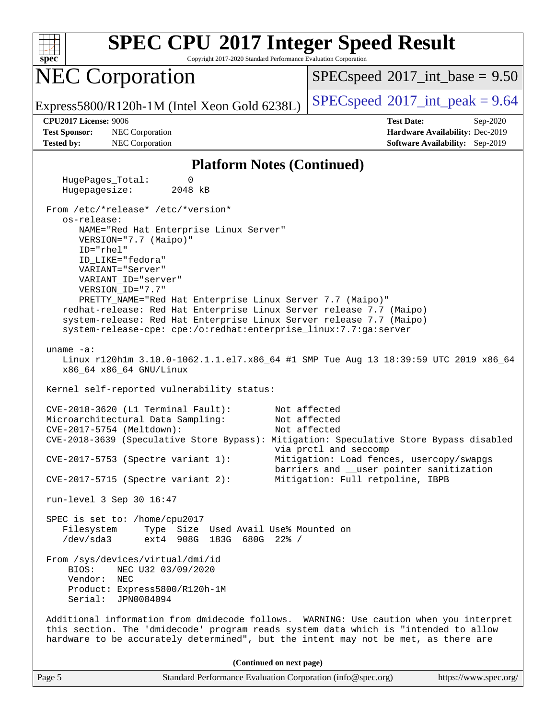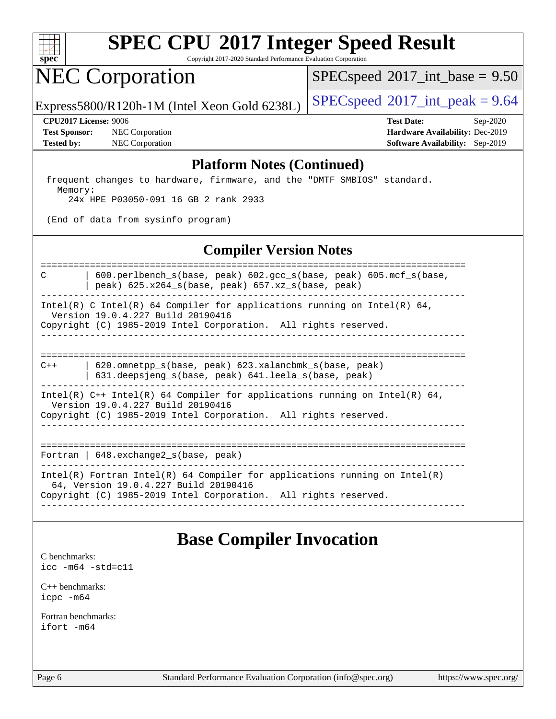

Copyright 2017-2020 Standard Performance Evaluation Corporation

## NEC Corporation

 $SPECspeed^{\circledcirc}2017\_int\_base = 9.50$  $SPECspeed^{\circledcirc}2017\_int\_base = 9.50$ 

Express5800/R120h-1M (Intel Xeon Gold 6238L)  $\big|$  [SPECspeed](http://www.spec.org/auto/cpu2017/Docs/result-fields.html#SPECspeed2017intpeak)®[2017\\_int\\_peak = 9](http://www.spec.org/auto/cpu2017/Docs/result-fields.html#SPECspeed2017intpeak).64

**[Test Sponsor:](http://www.spec.org/auto/cpu2017/Docs/result-fields.html#TestSponsor)** NEC Corporation **[Hardware Availability:](http://www.spec.org/auto/cpu2017/Docs/result-fields.html#HardwareAvailability)** Dec-2019 **[Tested by:](http://www.spec.org/auto/cpu2017/Docs/result-fields.html#Testedby)** NEC Corporation **[Software Availability:](http://www.spec.org/auto/cpu2017/Docs/result-fields.html#SoftwareAvailability)** Sep-2019

**[CPU2017 License:](http://www.spec.org/auto/cpu2017/Docs/result-fields.html#CPU2017License)** 9006 **[Test Date:](http://www.spec.org/auto/cpu2017/Docs/result-fields.html#TestDate)** Sep-2020

#### **[Platform Notes \(Continued\)](http://www.spec.org/auto/cpu2017/Docs/result-fields.html#PlatformNotes)**

 frequent changes to hardware, firmware, and the "DMTF SMBIOS" standard. Memory: 24x HPE P03050-091 16 GB 2 rank 2933

(End of data from sysinfo program)

### **[Compiler Version Notes](http://www.spec.org/auto/cpu2017/Docs/result-fields.html#CompilerVersionNotes)**

============================================================================== C | 600.perlbench\_s(base, peak) 602.gcc\_s(base, peak) 605.mcf\_s(base, | peak) 625.x264\_s(base, peak) 657.xz\_s(base, peak) ------------------------------------------------------------------------------

Intel(R) C Intel(R) 64 Compiler for applications running on Intel(R) 64, Version 19.0.4.227 Build 20190416

Copyright (C) 1985-2019 Intel Corporation. All rights reserved. ------------------------------------------------------------------------------

============================================================================== C++ | 620.omnetpp\_s(base, peak) 623.xalancbmk\_s(base, peak)

 | 631.deepsjeng\_s(base, peak) 641.leela\_s(base, peak) ------------------------------------------------------------------------------

Intel(R)  $C++$  Intel(R) 64 Compiler for applications running on Intel(R) 64,

Version 19.0.4.227 Build 20190416

Copyright (C) 1985-2019 Intel Corporation. All rights reserved. ------------------------------------------------------------------------------

==============================================================================

Fortran | 648.exchange2\_s(base, peak)

------------------------------------------------------------------------------ Intel(R) Fortran Intel(R) 64 Compiler for applications running on Intel(R)

64, Version 19.0.4.227 Build 20190416

Copyright (C) 1985-2019 Intel Corporation. All rights reserved. ------------------------------------------------------------------------------

## **[Base Compiler Invocation](http://www.spec.org/auto/cpu2017/Docs/result-fields.html#BaseCompilerInvocation)**

[C benchmarks](http://www.spec.org/auto/cpu2017/Docs/result-fields.html#Cbenchmarks): [icc -m64 -std=c11](http://www.spec.org/cpu2017/results/res2020q4/cpu2017-20201012-24174.flags.html#user_CCbase_intel_icc_64bit_c11_33ee0cdaae7deeeab2a9725423ba97205ce30f63b9926c2519791662299b76a0318f32ddfffdc46587804de3178b4f9328c46fa7c2b0cd779d7a61945c91cd35)

[C++ benchmarks:](http://www.spec.org/auto/cpu2017/Docs/result-fields.html#CXXbenchmarks) [icpc -m64](http://www.spec.org/cpu2017/results/res2020q4/cpu2017-20201012-24174.flags.html#user_CXXbase_intel_icpc_64bit_4ecb2543ae3f1412ef961e0650ca070fec7b7afdcd6ed48761b84423119d1bf6bdf5cad15b44d48e7256388bc77273b966e5eb805aefd121eb22e9299b2ec9d9)

[Fortran benchmarks](http://www.spec.org/auto/cpu2017/Docs/result-fields.html#Fortranbenchmarks): [ifort -m64](http://www.spec.org/cpu2017/results/res2020q4/cpu2017-20201012-24174.flags.html#user_FCbase_intel_ifort_64bit_24f2bb282fbaeffd6157abe4f878425411749daecae9a33200eee2bee2fe76f3b89351d69a8130dd5949958ce389cf37ff59a95e7a40d588e8d3a57e0c3fd751)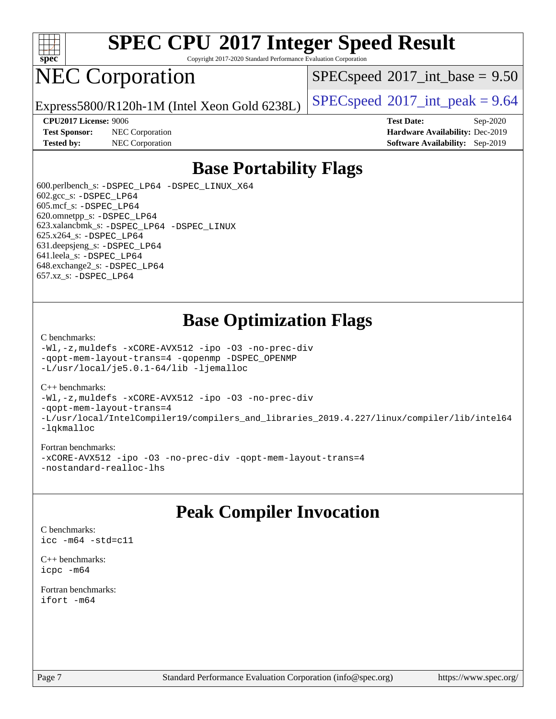

Copyright 2017-2020 Standard Performance Evaluation Corporation

# NEC Corporation

 $SPECspeed^{\circ}2017\_int\_base = 9.50$  $SPECspeed^{\circ}2017\_int\_base = 9.50$ 

Express5800/R120h-1M (Intel Xeon Gold 6238L)  $\left|$  [SPECspeed](http://www.spec.org/auto/cpu2017/Docs/result-fields.html#SPECspeed2017intpeak)®[2017\\_int\\_peak = 9](http://www.spec.org/auto/cpu2017/Docs/result-fields.html#SPECspeed2017intpeak).64

**[Test Sponsor:](http://www.spec.org/auto/cpu2017/Docs/result-fields.html#TestSponsor)** NEC Corporation **[Hardware Availability:](http://www.spec.org/auto/cpu2017/Docs/result-fields.html#HardwareAvailability)** Dec-2019

**[CPU2017 License:](http://www.spec.org/auto/cpu2017/Docs/result-fields.html#CPU2017License)** 9006 **[Test Date:](http://www.spec.org/auto/cpu2017/Docs/result-fields.html#TestDate)** Sep-2020 **[Tested by:](http://www.spec.org/auto/cpu2017/Docs/result-fields.html#Testedby)** NEC Corporation **[Software Availability:](http://www.spec.org/auto/cpu2017/Docs/result-fields.html#SoftwareAvailability)** Sep-2019

### **[Base Portability Flags](http://www.spec.org/auto/cpu2017/Docs/result-fields.html#BasePortabilityFlags)**

 600.perlbench\_s: [-DSPEC\\_LP64](http://www.spec.org/cpu2017/results/res2020q4/cpu2017-20201012-24174.flags.html#b600.perlbench_s_basePORTABILITY_DSPEC_LP64) [-DSPEC\\_LINUX\\_X64](http://www.spec.org/cpu2017/results/res2020q4/cpu2017-20201012-24174.flags.html#b600.perlbench_s_baseCPORTABILITY_DSPEC_LINUX_X64) 602.gcc\_s: [-DSPEC\\_LP64](http://www.spec.org/cpu2017/results/res2020q4/cpu2017-20201012-24174.flags.html#suite_basePORTABILITY602_gcc_s_DSPEC_LP64) 605.mcf\_s: [-DSPEC\\_LP64](http://www.spec.org/cpu2017/results/res2020q4/cpu2017-20201012-24174.flags.html#suite_basePORTABILITY605_mcf_s_DSPEC_LP64) 620.omnetpp\_s: [-DSPEC\\_LP64](http://www.spec.org/cpu2017/results/res2020q4/cpu2017-20201012-24174.flags.html#suite_basePORTABILITY620_omnetpp_s_DSPEC_LP64) 623.xalancbmk\_s: [-DSPEC\\_LP64](http://www.spec.org/cpu2017/results/res2020q4/cpu2017-20201012-24174.flags.html#suite_basePORTABILITY623_xalancbmk_s_DSPEC_LP64) [-DSPEC\\_LINUX](http://www.spec.org/cpu2017/results/res2020q4/cpu2017-20201012-24174.flags.html#b623.xalancbmk_s_baseCXXPORTABILITY_DSPEC_LINUX) 625.x264\_s: [-DSPEC\\_LP64](http://www.spec.org/cpu2017/results/res2020q4/cpu2017-20201012-24174.flags.html#suite_basePORTABILITY625_x264_s_DSPEC_LP64) 631.deepsjeng\_s: [-DSPEC\\_LP64](http://www.spec.org/cpu2017/results/res2020q4/cpu2017-20201012-24174.flags.html#suite_basePORTABILITY631_deepsjeng_s_DSPEC_LP64) 641.leela\_s: [-DSPEC\\_LP64](http://www.spec.org/cpu2017/results/res2020q4/cpu2017-20201012-24174.flags.html#suite_basePORTABILITY641_leela_s_DSPEC_LP64) 648.exchange2\_s: [-DSPEC\\_LP64](http://www.spec.org/cpu2017/results/res2020q4/cpu2017-20201012-24174.flags.html#suite_basePORTABILITY648_exchange2_s_DSPEC_LP64) 657.xz\_s: [-DSPEC\\_LP64](http://www.spec.org/cpu2017/results/res2020q4/cpu2017-20201012-24174.flags.html#suite_basePORTABILITY657_xz_s_DSPEC_LP64)

### **[Base Optimization Flags](http://www.spec.org/auto/cpu2017/Docs/result-fields.html#BaseOptimizationFlags)**

#### [C benchmarks](http://www.spec.org/auto/cpu2017/Docs/result-fields.html#Cbenchmarks):

[-Wl,-z,muldefs](http://www.spec.org/cpu2017/results/res2020q4/cpu2017-20201012-24174.flags.html#user_CCbase_link_force_multiple1_b4cbdb97b34bdee9ceefcfe54f4c8ea74255f0b02a4b23e853cdb0e18eb4525ac79b5a88067c842dd0ee6996c24547a27a4b99331201badda8798ef8a743f577) [-xCORE-AVX512](http://www.spec.org/cpu2017/results/res2020q4/cpu2017-20201012-24174.flags.html#user_CCbase_f-xCORE-AVX512) [-ipo](http://www.spec.org/cpu2017/results/res2020q4/cpu2017-20201012-24174.flags.html#user_CCbase_f-ipo) [-O3](http://www.spec.org/cpu2017/results/res2020q4/cpu2017-20201012-24174.flags.html#user_CCbase_f-O3) [-no-prec-div](http://www.spec.org/cpu2017/results/res2020q4/cpu2017-20201012-24174.flags.html#user_CCbase_f-no-prec-div) [-qopt-mem-layout-trans=4](http://www.spec.org/cpu2017/results/res2020q4/cpu2017-20201012-24174.flags.html#user_CCbase_f-qopt-mem-layout-trans_fa39e755916c150a61361b7846f310bcdf6f04e385ef281cadf3647acec3f0ae266d1a1d22d972a7087a248fd4e6ca390a3634700869573d231a252c784941a8) [-qopenmp](http://www.spec.org/cpu2017/results/res2020q4/cpu2017-20201012-24174.flags.html#user_CCbase_qopenmp_16be0c44f24f464004c6784a7acb94aca937f053568ce72f94b139a11c7c168634a55f6653758ddd83bcf7b8463e8028bb0b48b77bcddc6b78d5d95bb1df2967) [-DSPEC\\_OPENMP](http://www.spec.org/cpu2017/results/res2020q4/cpu2017-20201012-24174.flags.html#suite_CCbase_DSPEC_OPENMP) [-L/usr/local/je5.0.1-64/lib](http://www.spec.org/cpu2017/results/res2020q4/cpu2017-20201012-24174.flags.html#user_CCbase_jemalloc_link_path64_4b10a636b7bce113509b17f3bd0d6226c5fb2346b9178c2d0232c14f04ab830f976640479e5c33dc2bcbbdad86ecfb6634cbbd4418746f06f368b512fced5394) [-ljemalloc](http://www.spec.org/cpu2017/results/res2020q4/cpu2017-20201012-24174.flags.html#user_CCbase_jemalloc_link_lib_d1249b907c500fa1c0672f44f562e3d0f79738ae9e3c4a9c376d49f265a04b9c99b167ecedbf6711b3085be911c67ff61f150a17b3472be731631ba4d0471706)

#### [C++ benchmarks:](http://www.spec.org/auto/cpu2017/Docs/result-fields.html#CXXbenchmarks)

[-Wl,-z,muldefs](http://www.spec.org/cpu2017/results/res2020q4/cpu2017-20201012-24174.flags.html#user_CXXbase_link_force_multiple1_b4cbdb97b34bdee9ceefcfe54f4c8ea74255f0b02a4b23e853cdb0e18eb4525ac79b5a88067c842dd0ee6996c24547a27a4b99331201badda8798ef8a743f577) [-xCORE-AVX512](http://www.spec.org/cpu2017/results/res2020q4/cpu2017-20201012-24174.flags.html#user_CXXbase_f-xCORE-AVX512) [-ipo](http://www.spec.org/cpu2017/results/res2020q4/cpu2017-20201012-24174.flags.html#user_CXXbase_f-ipo) [-O3](http://www.spec.org/cpu2017/results/res2020q4/cpu2017-20201012-24174.flags.html#user_CXXbase_f-O3) [-no-prec-div](http://www.spec.org/cpu2017/results/res2020q4/cpu2017-20201012-24174.flags.html#user_CXXbase_f-no-prec-div) [-qopt-mem-layout-trans=4](http://www.spec.org/cpu2017/results/res2020q4/cpu2017-20201012-24174.flags.html#user_CXXbase_f-qopt-mem-layout-trans_fa39e755916c150a61361b7846f310bcdf6f04e385ef281cadf3647acec3f0ae266d1a1d22d972a7087a248fd4e6ca390a3634700869573d231a252c784941a8) [-L/usr/local/IntelCompiler19/compilers\\_and\\_libraries\\_2019.4.227/linux/compiler/lib/intel64](http://www.spec.org/cpu2017/results/res2020q4/cpu2017-20201012-24174.flags.html#user_CXXbase_qkmalloc_link_0ffe0cb02c68ef1b443a077c7888c10c67ca0d1dd7138472156f06a085bbad385f78d49618ad55dca9db3b1608e84afc2f69b4003b1d1ca498a9fc1462ccefda) [-lqkmalloc](http://www.spec.org/cpu2017/results/res2020q4/cpu2017-20201012-24174.flags.html#user_CXXbase_qkmalloc_link_lib_79a818439969f771c6bc311cfd333c00fc099dad35c030f5aab9dda831713d2015205805422f83de8875488a2991c0a156aaa600e1f9138f8fc37004abc96dc5)

#### [Fortran benchmarks:](http://www.spec.org/auto/cpu2017/Docs/result-fields.html#Fortranbenchmarks)

[-xCORE-AVX512](http://www.spec.org/cpu2017/results/res2020q4/cpu2017-20201012-24174.flags.html#user_FCbase_f-xCORE-AVX512) [-ipo](http://www.spec.org/cpu2017/results/res2020q4/cpu2017-20201012-24174.flags.html#user_FCbase_f-ipo) [-O3](http://www.spec.org/cpu2017/results/res2020q4/cpu2017-20201012-24174.flags.html#user_FCbase_f-O3) [-no-prec-div](http://www.spec.org/cpu2017/results/res2020q4/cpu2017-20201012-24174.flags.html#user_FCbase_f-no-prec-div) [-qopt-mem-layout-trans=4](http://www.spec.org/cpu2017/results/res2020q4/cpu2017-20201012-24174.flags.html#user_FCbase_f-qopt-mem-layout-trans_fa39e755916c150a61361b7846f310bcdf6f04e385ef281cadf3647acec3f0ae266d1a1d22d972a7087a248fd4e6ca390a3634700869573d231a252c784941a8) [-nostandard-realloc-lhs](http://www.spec.org/cpu2017/results/res2020q4/cpu2017-20201012-24174.flags.html#user_FCbase_f_2003_std_realloc_82b4557e90729c0f113870c07e44d33d6f5a304b4f63d4c15d2d0f1fab99f5daaed73bdb9275d9ae411527f28b936061aa8b9c8f2d63842963b95c9dd6426b8a)

### **[Peak Compiler Invocation](http://www.spec.org/auto/cpu2017/Docs/result-fields.html#PeakCompilerInvocation)**

[C benchmarks](http://www.spec.org/auto/cpu2017/Docs/result-fields.html#Cbenchmarks): [icc -m64 -std=c11](http://www.spec.org/cpu2017/results/res2020q4/cpu2017-20201012-24174.flags.html#user_CCpeak_intel_icc_64bit_c11_33ee0cdaae7deeeab2a9725423ba97205ce30f63b9926c2519791662299b76a0318f32ddfffdc46587804de3178b4f9328c46fa7c2b0cd779d7a61945c91cd35)

[C++ benchmarks:](http://www.spec.org/auto/cpu2017/Docs/result-fields.html#CXXbenchmarks) [icpc -m64](http://www.spec.org/cpu2017/results/res2020q4/cpu2017-20201012-24174.flags.html#user_CXXpeak_intel_icpc_64bit_4ecb2543ae3f1412ef961e0650ca070fec7b7afdcd6ed48761b84423119d1bf6bdf5cad15b44d48e7256388bc77273b966e5eb805aefd121eb22e9299b2ec9d9)

[Fortran benchmarks](http://www.spec.org/auto/cpu2017/Docs/result-fields.html#Fortranbenchmarks): [ifort -m64](http://www.spec.org/cpu2017/results/res2020q4/cpu2017-20201012-24174.flags.html#user_FCpeak_intel_ifort_64bit_24f2bb282fbaeffd6157abe4f878425411749daecae9a33200eee2bee2fe76f3b89351d69a8130dd5949958ce389cf37ff59a95e7a40d588e8d3a57e0c3fd751)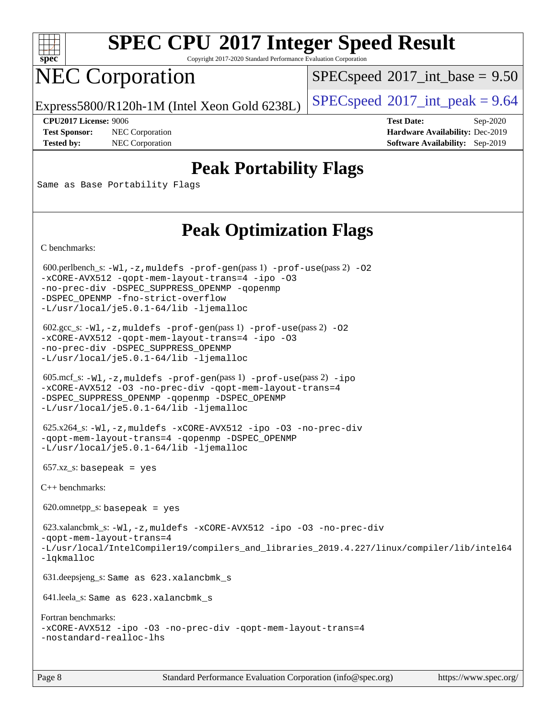

Copyright 2017-2020 Standard Performance Evaluation Corporation

# NEC Corporation

 $SPECspeed^{\circ}2017\_int\_base = 9.50$  $SPECspeed^{\circ}2017\_int\_base = 9.50$ 

Express5800/R120h-1M (Intel Xeon Gold 6238L)  $\left|$  [SPECspeed](http://www.spec.org/auto/cpu2017/Docs/result-fields.html#SPECspeed2017intpeak)®[2017\\_int\\_peak = 9](http://www.spec.org/auto/cpu2017/Docs/result-fields.html#SPECspeed2017intpeak).64

**[Test Sponsor:](http://www.spec.org/auto/cpu2017/Docs/result-fields.html#TestSponsor)** NEC Corporation **[Hardware Availability:](http://www.spec.org/auto/cpu2017/Docs/result-fields.html#HardwareAvailability)** Dec-2019 **[Tested by:](http://www.spec.org/auto/cpu2017/Docs/result-fields.html#Testedby)** NEC Corporation **[Software Availability:](http://www.spec.org/auto/cpu2017/Docs/result-fields.html#SoftwareAvailability)** Sep-2019

**[CPU2017 License:](http://www.spec.org/auto/cpu2017/Docs/result-fields.html#CPU2017License)** 9006 **[Test Date:](http://www.spec.org/auto/cpu2017/Docs/result-fields.html#TestDate)** Sep-2020

### **[Peak Portability Flags](http://www.spec.org/auto/cpu2017/Docs/result-fields.html#PeakPortabilityFlags)**

Same as Base Portability Flags

## **[Peak Optimization Flags](http://www.spec.org/auto/cpu2017/Docs/result-fields.html#PeakOptimizationFlags)**

[C benchmarks](http://www.spec.org/auto/cpu2017/Docs/result-fields.html#Cbenchmarks):

600.perlbench\_s:  $-W1$ , -z, muldefs [-prof-gen](http://www.spec.org/cpu2017/results/res2020q4/cpu2017-20201012-24174.flags.html#user_peakPASS1_CFLAGSPASS1_LDFLAGS600_perlbench_s_prof_gen_5aa4926d6013ddb2a31985c654b3eb18169fc0c6952a63635c234f711e6e63dd76e94ad52365559451ec499a2cdb89e4dc58ba4c67ef54ca681ffbe1461d6b36)(pass 1) [-prof-use](http://www.spec.org/cpu2017/results/res2020q4/cpu2017-20201012-24174.flags.html#user_peakPASS2_CFLAGSPASS2_LDFLAGS600_perlbench_s_prof_use_1a21ceae95f36a2b53c25747139a6c16ca95bd9def2a207b4f0849963b97e94f5260e30a0c64f4bb623698870e679ca08317ef8150905d41bd88c6f78df73f19)(pass 2) -02 [-xCORE-AVX512](http://www.spec.org/cpu2017/results/res2020q4/cpu2017-20201012-24174.flags.html#user_peakPASS2_COPTIMIZE600_perlbench_s_f-xCORE-AVX512) [-qopt-mem-layout-trans=4](http://www.spec.org/cpu2017/results/res2020q4/cpu2017-20201012-24174.flags.html#user_peakPASS1_COPTIMIZEPASS2_COPTIMIZE600_perlbench_s_f-qopt-mem-layout-trans_fa39e755916c150a61361b7846f310bcdf6f04e385ef281cadf3647acec3f0ae266d1a1d22d972a7087a248fd4e6ca390a3634700869573d231a252c784941a8) [-ipo](http://www.spec.org/cpu2017/results/res2020q4/cpu2017-20201012-24174.flags.html#user_peakPASS2_COPTIMIZE600_perlbench_s_f-ipo) [-O3](http://www.spec.org/cpu2017/results/res2020q4/cpu2017-20201012-24174.flags.html#user_peakPASS2_COPTIMIZE600_perlbench_s_f-O3) [-no-prec-div](http://www.spec.org/cpu2017/results/res2020q4/cpu2017-20201012-24174.flags.html#user_peakPASS2_COPTIMIZE600_perlbench_s_f-no-prec-div) [-DSPEC\\_SUPPRESS\\_OPENMP](http://www.spec.org/cpu2017/results/res2020q4/cpu2017-20201012-24174.flags.html#suite_peakPASS1_COPTIMIZE600_perlbench_s_DSPEC_SUPPRESS_OPENMP) [-qopenmp](http://www.spec.org/cpu2017/results/res2020q4/cpu2017-20201012-24174.flags.html#user_peakPASS2_COPTIMIZE600_perlbench_s_qopenmp_16be0c44f24f464004c6784a7acb94aca937f053568ce72f94b139a11c7c168634a55f6653758ddd83bcf7b8463e8028bb0b48b77bcddc6b78d5d95bb1df2967) [-DSPEC\\_OPENMP](http://www.spec.org/cpu2017/results/res2020q4/cpu2017-20201012-24174.flags.html#suite_peakPASS2_COPTIMIZE600_perlbench_s_DSPEC_OPENMP) [-fno-strict-overflow](http://www.spec.org/cpu2017/results/res2020q4/cpu2017-20201012-24174.flags.html#user_peakEXTRA_OPTIMIZE600_perlbench_s_f-fno-strict-overflow) [-L/usr/local/je5.0.1-64/lib](http://www.spec.org/cpu2017/results/res2020q4/cpu2017-20201012-24174.flags.html#user_peakEXTRA_LIBS600_perlbench_s_jemalloc_link_path64_4b10a636b7bce113509b17f3bd0d6226c5fb2346b9178c2d0232c14f04ab830f976640479e5c33dc2bcbbdad86ecfb6634cbbd4418746f06f368b512fced5394) [-ljemalloc](http://www.spec.org/cpu2017/results/res2020q4/cpu2017-20201012-24174.flags.html#user_peakEXTRA_LIBS600_perlbench_s_jemalloc_link_lib_d1249b907c500fa1c0672f44f562e3d0f79738ae9e3c4a9c376d49f265a04b9c99b167ecedbf6711b3085be911c67ff61f150a17b3472be731631ba4d0471706) 602.gcc\_s: [-Wl,-z,muldefs](http://www.spec.org/cpu2017/results/res2020q4/cpu2017-20201012-24174.flags.html#user_peakEXTRA_LDFLAGS602_gcc_s_link_force_multiple1_b4cbdb97b34bdee9ceefcfe54f4c8ea74255f0b02a4b23e853cdb0e18eb4525ac79b5a88067c842dd0ee6996c24547a27a4b99331201badda8798ef8a743f577) [-prof-gen](http://www.spec.org/cpu2017/results/res2020q4/cpu2017-20201012-24174.flags.html#user_peakPASS1_CFLAGSPASS1_LDFLAGS602_gcc_s_prof_gen_5aa4926d6013ddb2a31985c654b3eb18169fc0c6952a63635c234f711e6e63dd76e94ad52365559451ec499a2cdb89e4dc58ba4c67ef54ca681ffbe1461d6b36)(pass 1) [-prof-use](http://www.spec.org/cpu2017/results/res2020q4/cpu2017-20201012-24174.flags.html#user_peakPASS2_CFLAGSPASS2_LDFLAGS602_gcc_s_prof_use_1a21ceae95f36a2b53c25747139a6c16ca95bd9def2a207b4f0849963b97e94f5260e30a0c64f4bb623698870e679ca08317ef8150905d41bd88c6f78df73f19)(pass 2) [-O2](http://www.spec.org/cpu2017/results/res2020q4/cpu2017-20201012-24174.flags.html#user_peakPASS1_COPTIMIZE602_gcc_s_f-O2) [-xCORE-AVX512](http://www.spec.org/cpu2017/results/res2020q4/cpu2017-20201012-24174.flags.html#user_peakPASS2_COPTIMIZE602_gcc_s_f-xCORE-AVX512) [-qopt-mem-layout-trans=4](http://www.spec.org/cpu2017/results/res2020q4/cpu2017-20201012-24174.flags.html#user_peakPASS1_COPTIMIZEPASS2_COPTIMIZE602_gcc_s_f-qopt-mem-layout-trans_fa39e755916c150a61361b7846f310bcdf6f04e385ef281cadf3647acec3f0ae266d1a1d22d972a7087a248fd4e6ca390a3634700869573d231a252c784941a8) [-ipo](http://www.spec.org/cpu2017/results/res2020q4/cpu2017-20201012-24174.flags.html#user_peakPASS2_COPTIMIZE602_gcc_s_f-ipo) [-O3](http://www.spec.org/cpu2017/results/res2020q4/cpu2017-20201012-24174.flags.html#user_peakPASS2_COPTIMIZE602_gcc_s_f-O3) [-no-prec-div](http://www.spec.org/cpu2017/results/res2020q4/cpu2017-20201012-24174.flags.html#user_peakPASS2_COPTIMIZE602_gcc_s_f-no-prec-div) [-DSPEC\\_SUPPRESS\\_OPENMP](http://www.spec.org/cpu2017/results/res2020q4/cpu2017-20201012-24174.flags.html#suite_peakPASS1_COPTIMIZE602_gcc_s_DSPEC_SUPPRESS_OPENMP) [-L/usr/local/je5.0.1-64/lib](http://www.spec.org/cpu2017/results/res2020q4/cpu2017-20201012-24174.flags.html#user_peakEXTRA_LIBS602_gcc_s_jemalloc_link_path64_4b10a636b7bce113509b17f3bd0d6226c5fb2346b9178c2d0232c14f04ab830f976640479e5c33dc2bcbbdad86ecfb6634cbbd4418746f06f368b512fced5394) [-ljemalloc](http://www.spec.org/cpu2017/results/res2020q4/cpu2017-20201012-24174.flags.html#user_peakEXTRA_LIBS602_gcc_s_jemalloc_link_lib_d1249b907c500fa1c0672f44f562e3d0f79738ae9e3c4a9c376d49f265a04b9c99b167ecedbf6711b3085be911c67ff61f150a17b3472be731631ba4d0471706) 605.mcf\_s: [-Wl,-z,muldefs](http://www.spec.org/cpu2017/results/res2020q4/cpu2017-20201012-24174.flags.html#user_peakEXTRA_LDFLAGS605_mcf_s_link_force_multiple1_b4cbdb97b34bdee9ceefcfe54f4c8ea74255f0b02a4b23e853cdb0e18eb4525ac79b5a88067c842dd0ee6996c24547a27a4b99331201badda8798ef8a743f577) [-prof-gen](http://www.spec.org/cpu2017/results/res2020q4/cpu2017-20201012-24174.flags.html#user_peakPASS1_CFLAGSPASS1_LDFLAGS605_mcf_s_prof_gen_5aa4926d6013ddb2a31985c654b3eb18169fc0c6952a63635c234f711e6e63dd76e94ad52365559451ec499a2cdb89e4dc58ba4c67ef54ca681ffbe1461d6b36)(pass 1) [-prof-use](http://www.spec.org/cpu2017/results/res2020q4/cpu2017-20201012-24174.flags.html#user_peakPASS2_CFLAGSPASS2_LDFLAGS605_mcf_s_prof_use_1a21ceae95f36a2b53c25747139a6c16ca95bd9def2a207b4f0849963b97e94f5260e30a0c64f4bb623698870e679ca08317ef8150905d41bd88c6f78df73f19)(pass 2) [-ipo](http://www.spec.org/cpu2017/results/res2020q4/cpu2017-20201012-24174.flags.html#user_peakPASS1_COPTIMIZEPASS2_COPTIMIZE605_mcf_s_f-ipo) [-xCORE-AVX512](http://www.spec.org/cpu2017/results/res2020q4/cpu2017-20201012-24174.flags.html#user_peakPASS2_COPTIMIZE605_mcf_s_f-xCORE-AVX512) [-O3](http://www.spec.org/cpu2017/results/res2020q4/cpu2017-20201012-24174.flags.html#user_peakPASS1_COPTIMIZEPASS2_COPTIMIZE605_mcf_s_f-O3) [-no-prec-div](http://www.spec.org/cpu2017/results/res2020q4/cpu2017-20201012-24174.flags.html#user_peakPASS1_COPTIMIZEPASS2_COPTIMIZE605_mcf_s_f-no-prec-div) [-qopt-mem-layout-trans=4](http://www.spec.org/cpu2017/results/res2020q4/cpu2017-20201012-24174.flags.html#user_peakPASS1_COPTIMIZEPASS2_COPTIMIZE605_mcf_s_f-qopt-mem-layout-trans_fa39e755916c150a61361b7846f310bcdf6f04e385ef281cadf3647acec3f0ae266d1a1d22d972a7087a248fd4e6ca390a3634700869573d231a252c784941a8) [-DSPEC\\_SUPPRESS\\_OPENMP](http://www.spec.org/cpu2017/results/res2020q4/cpu2017-20201012-24174.flags.html#suite_peakPASS1_COPTIMIZE605_mcf_s_DSPEC_SUPPRESS_OPENMP) [-qopenmp](http://www.spec.org/cpu2017/results/res2020q4/cpu2017-20201012-24174.flags.html#user_peakPASS2_COPTIMIZE605_mcf_s_qopenmp_16be0c44f24f464004c6784a7acb94aca937f053568ce72f94b139a11c7c168634a55f6653758ddd83bcf7b8463e8028bb0b48b77bcddc6b78d5d95bb1df2967) [-DSPEC\\_OPENMP](http://www.spec.org/cpu2017/results/res2020q4/cpu2017-20201012-24174.flags.html#suite_peakPASS2_COPTIMIZE605_mcf_s_DSPEC_OPENMP) [-L/usr/local/je5.0.1-64/lib](http://www.spec.org/cpu2017/results/res2020q4/cpu2017-20201012-24174.flags.html#user_peakEXTRA_LIBS605_mcf_s_jemalloc_link_path64_4b10a636b7bce113509b17f3bd0d6226c5fb2346b9178c2d0232c14f04ab830f976640479e5c33dc2bcbbdad86ecfb6634cbbd4418746f06f368b512fced5394) [-ljemalloc](http://www.spec.org/cpu2017/results/res2020q4/cpu2017-20201012-24174.flags.html#user_peakEXTRA_LIBS605_mcf_s_jemalloc_link_lib_d1249b907c500fa1c0672f44f562e3d0f79738ae9e3c4a9c376d49f265a04b9c99b167ecedbf6711b3085be911c67ff61f150a17b3472be731631ba4d0471706) 625.x264\_s: [-Wl,-z,muldefs](http://www.spec.org/cpu2017/results/res2020q4/cpu2017-20201012-24174.flags.html#user_peakEXTRA_LDFLAGS625_x264_s_link_force_multiple1_b4cbdb97b34bdee9ceefcfe54f4c8ea74255f0b02a4b23e853cdb0e18eb4525ac79b5a88067c842dd0ee6996c24547a27a4b99331201badda8798ef8a743f577) [-xCORE-AVX512](http://www.spec.org/cpu2017/results/res2020q4/cpu2017-20201012-24174.flags.html#user_peakCOPTIMIZE625_x264_s_f-xCORE-AVX512) [-ipo](http://www.spec.org/cpu2017/results/res2020q4/cpu2017-20201012-24174.flags.html#user_peakCOPTIMIZE625_x264_s_f-ipo) [-O3](http://www.spec.org/cpu2017/results/res2020q4/cpu2017-20201012-24174.flags.html#user_peakCOPTIMIZE625_x264_s_f-O3) [-no-prec-div](http://www.spec.org/cpu2017/results/res2020q4/cpu2017-20201012-24174.flags.html#user_peakCOPTIMIZE625_x264_s_f-no-prec-div) [-qopt-mem-layout-trans=4](http://www.spec.org/cpu2017/results/res2020q4/cpu2017-20201012-24174.flags.html#user_peakCOPTIMIZE625_x264_s_f-qopt-mem-layout-trans_fa39e755916c150a61361b7846f310bcdf6f04e385ef281cadf3647acec3f0ae266d1a1d22d972a7087a248fd4e6ca390a3634700869573d231a252c784941a8) [-qopenmp](http://www.spec.org/cpu2017/results/res2020q4/cpu2017-20201012-24174.flags.html#user_peakCOPTIMIZE625_x264_s_qopenmp_16be0c44f24f464004c6784a7acb94aca937f053568ce72f94b139a11c7c168634a55f6653758ddd83bcf7b8463e8028bb0b48b77bcddc6b78d5d95bb1df2967) [-DSPEC\\_OPENMP](http://www.spec.org/cpu2017/results/res2020q4/cpu2017-20201012-24174.flags.html#suite_peakCOPTIMIZE625_x264_s_DSPEC_OPENMP) [-L/usr/local/je5.0.1-64/lib](http://www.spec.org/cpu2017/results/res2020q4/cpu2017-20201012-24174.flags.html#user_peakEXTRA_LIBS625_x264_s_jemalloc_link_path64_4b10a636b7bce113509b17f3bd0d6226c5fb2346b9178c2d0232c14f04ab830f976640479e5c33dc2bcbbdad86ecfb6634cbbd4418746f06f368b512fced5394) [-ljemalloc](http://www.spec.org/cpu2017/results/res2020q4/cpu2017-20201012-24174.flags.html#user_peakEXTRA_LIBS625_x264_s_jemalloc_link_lib_d1249b907c500fa1c0672f44f562e3d0f79738ae9e3c4a9c376d49f265a04b9c99b167ecedbf6711b3085be911c67ff61f150a17b3472be731631ba4d0471706)  $657.xz_s$ : basepeak = yes [C++ benchmarks:](http://www.spec.org/auto/cpu2017/Docs/result-fields.html#CXXbenchmarks)  $620.$ omnetpp\_s: basepeak = yes 623.xalancbmk\_s: [-Wl,-z,muldefs](http://www.spec.org/cpu2017/results/res2020q4/cpu2017-20201012-24174.flags.html#user_peakEXTRA_LDFLAGS623_xalancbmk_s_link_force_multiple1_b4cbdb97b34bdee9ceefcfe54f4c8ea74255f0b02a4b23e853cdb0e18eb4525ac79b5a88067c842dd0ee6996c24547a27a4b99331201badda8798ef8a743f577) [-xCORE-AVX512](http://www.spec.org/cpu2017/results/res2020q4/cpu2017-20201012-24174.flags.html#user_peakCXXOPTIMIZE623_xalancbmk_s_f-xCORE-AVX512) [-ipo](http://www.spec.org/cpu2017/results/res2020q4/cpu2017-20201012-24174.flags.html#user_peakCXXOPTIMIZE623_xalancbmk_s_f-ipo) [-O3](http://www.spec.org/cpu2017/results/res2020q4/cpu2017-20201012-24174.flags.html#user_peakCXXOPTIMIZE623_xalancbmk_s_f-O3) [-no-prec-div](http://www.spec.org/cpu2017/results/res2020q4/cpu2017-20201012-24174.flags.html#user_peakCXXOPTIMIZE623_xalancbmk_s_f-no-prec-div) [-qopt-mem-layout-trans=4](http://www.spec.org/cpu2017/results/res2020q4/cpu2017-20201012-24174.flags.html#user_peakCXXOPTIMIZE623_xalancbmk_s_f-qopt-mem-layout-trans_fa39e755916c150a61361b7846f310bcdf6f04e385ef281cadf3647acec3f0ae266d1a1d22d972a7087a248fd4e6ca390a3634700869573d231a252c784941a8) [-L/usr/local/IntelCompiler19/compilers\\_and\\_libraries\\_2019.4.227/linux/compiler/lib/intel64](http://www.spec.org/cpu2017/results/res2020q4/cpu2017-20201012-24174.flags.html#user_peakEXTRA_LIBS623_xalancbmk_s_qkmalloc_link_0ffe0cb02c68ef1b443a077c7888c10c67ca0d1dd7138472156f06a085bbad385f78d49618ad55dca9db3b1608e84afc2f69b4003b1d1ca498a9fc1462ccefda) [-lqkmalloc](http://www.spec.org/cpu2017/results/res2020q4/cpu2017-20201012-24174.flags.html#user_peakEXTRA_LIBS623_xalancbmk_s_qkmalloc_link_lib_79a818439969f771c6bc311cfd333c00fc099dad35c030f5aab9dda831713d2015205805422f83de8875488a2991c0a156aaa600e1f9138f8fc37004abc96dc5) 631.deepsjeng\_s: Same as 623.xalancbmk\_s 641.leela\_s: Same as 623.xalancbmk\_s [Fortran benchmarks:](http://www.spec.org/auto/cpu2017/Docs/result-fields.html#Fortranbenchmarks) [-xCORE-AVX512](http://www.spec.org/cpu2017/results/res2020q4/cpu2017-20201012-24174.flags.html#user_FCpeak_f-xCORE-AVX512) [-ipo](http://www.spec.org/cpu2017/results/res2020q4/cpu2017-20201012-24174.flags.html#user_FCpeak_f-ipo) [-O3](http://www.spec.org/cpu2017/results/res2020q4/cpu2017-20201012-24174.flags.html#user_FCpeak_f-O3) [-no-prec-div](http://www.spec.org/cpu2017/results/res2020q4/cpu2017-20201012-24174.flags.html#user_FCpeak_f-no-prec-div) [-qopt-mem-layout-trans=4](http://www.spec.org/cpu2017/results/res2020q4/cpu2017-20201012-24174.flags.html#user_FCpeak_f-qopt-mem-layout-trans_fa39e755916c150a61361b7846f310bcdf6f04e385ef281cadf3647acec3f0ae266d1a1d22d972a7087a248fd4e6ca390a3634700869573d231a252c784941a8) [-nostandard-realloc-lhs](http://www.spec.org/cpu2017/results/res2020q4/cpu2017-20201012-24174.flags.html#user_FCpeak_f_2003_std_realloc_82b4557e90729c0f113870c07e44d33d6f5a304b4f63d4c15d2d0f1fab99f5daaed73bdb9275d9ae411527f28b936061aa8b9c8f2d63842963b95c9dd6426b8a)